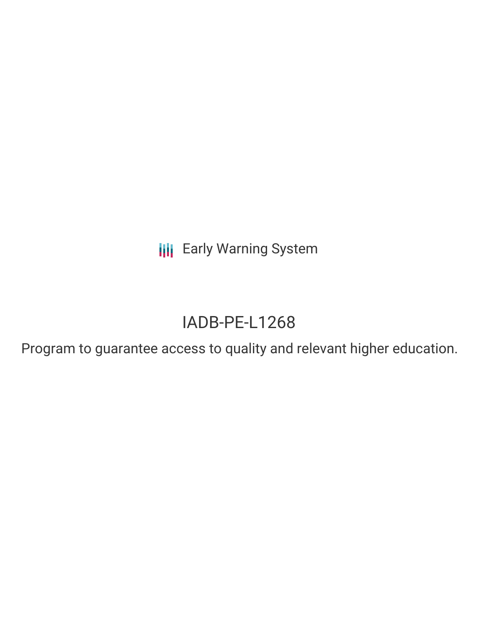**III** Early Warning System

# IADB-PE-L1268

Program to guarantee access to quality and relevant higher education.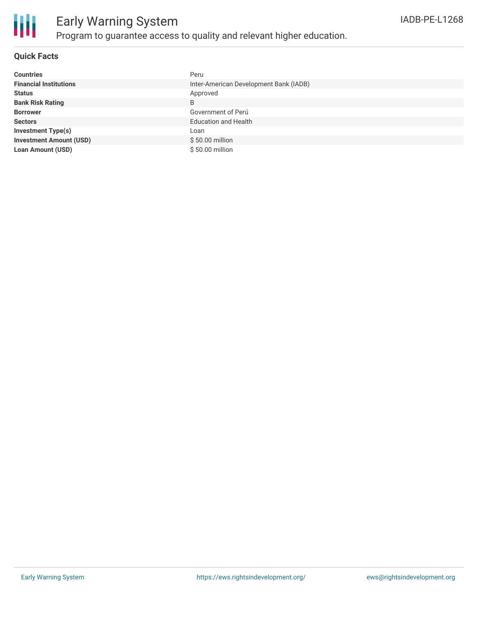

## Early Warning System Program to guarantee access to quality and relevant higher education.

#### **Quick Facts**

| <b>Countries</b>               | Peru                                   |
|--------------------------------|----------------------------------------|
| <b>Financial Institutions</b>  | Inter-American Development Bank (IADB) |
| <b>Status</b>                  | Approved                               |
| <b>Bank Risk Rating</b>        | B                                      |
| <b>Borrower</b>                | Government of Perú                     |
| <b>Sectors</b>                 | <b>Education and Health</b>            |
| <b>Investment Type(s)</b>      | Loan                                   |
| <b>Investment Amount (USD)</b> | $$50.00$ million                       |
| <b>Loan Amount (USD)</b>       | \$50.00 million                        |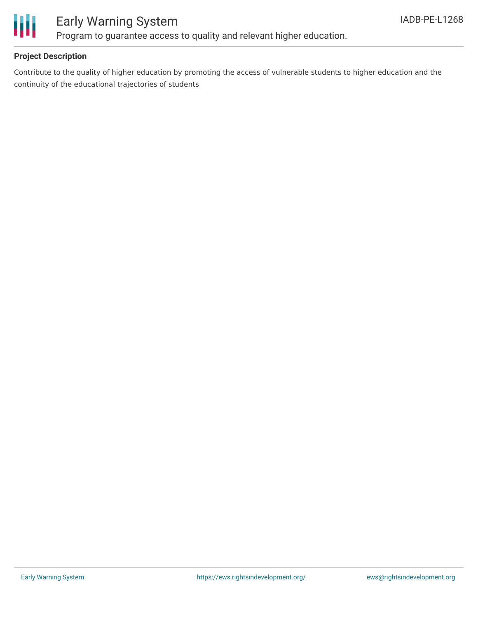

### Early Warning System Program to guarantee access to quality and relevant higher education.

#### **Project Description**

Contribute to the quality of higher education by promoting the access of vulnerable students to higher education and the continuity of the educational trajectories of students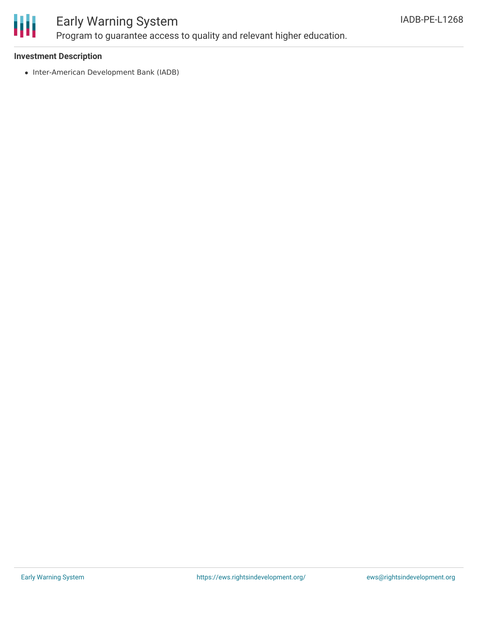

## Early Warning System

Program to guarantee access to quality and relevant higher education.

#### **Investment Description**

• Inter-American Development Bank (IADB)